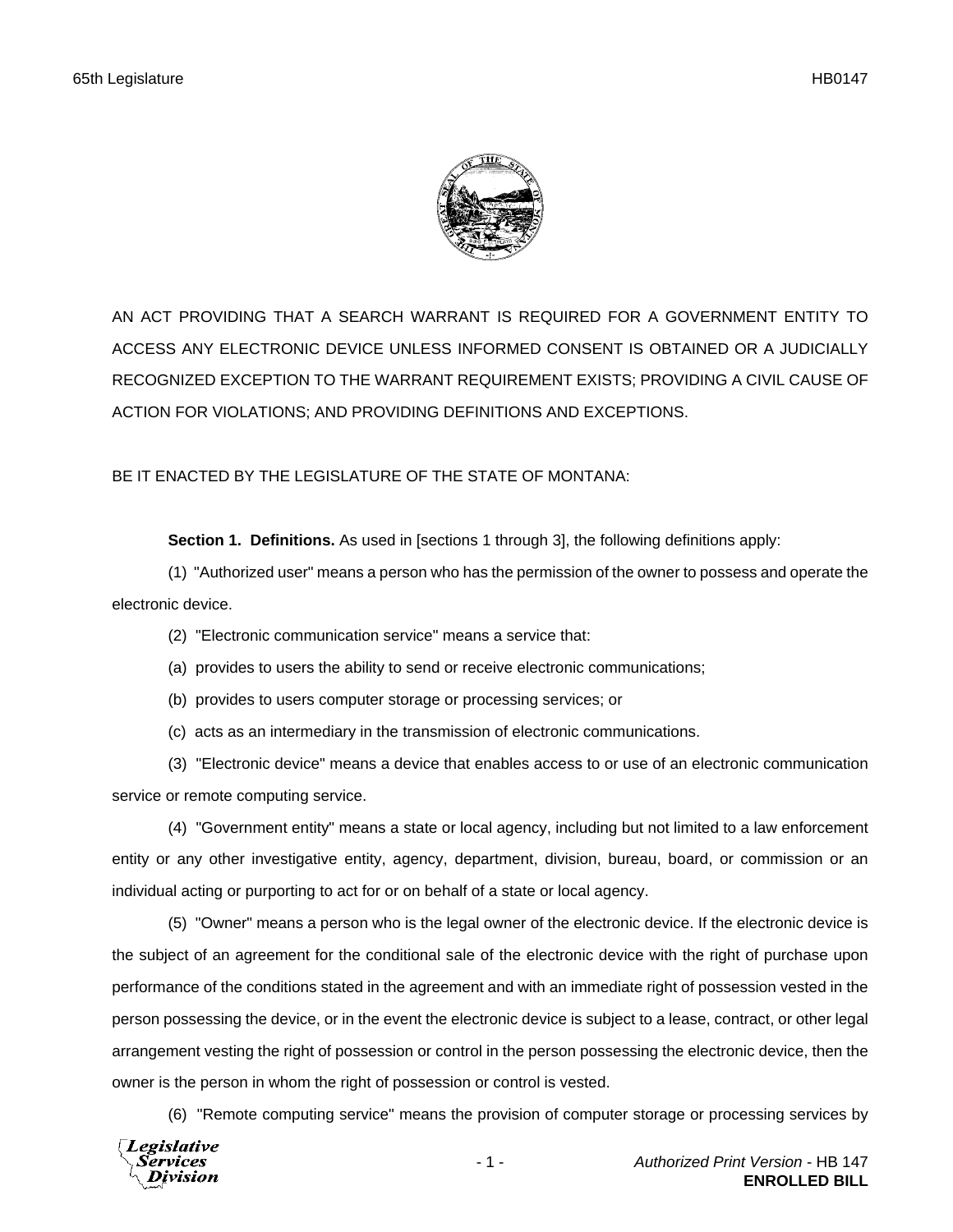

AN ACT PROVIDING THAT A SEARCH WARRANT IS REQUIRED FOR A GOVERNMENT ENTITY TO ACCESS ANY ELECTRONIC DEVICE UNLESS INFORMED CONSENT IS OBTAINED OR A JUDICIALLY RECOGNIZED EXCEPTION TO THE WARRANT REQUIREMENT EXISTS; PROVIDING A CIVIL CAUSE OF ACTION FOR VIOLATIONS; AND PROVIDING DEFINITIONS AND EXCEPTIONS.

BE IT ENACTED BY THE LEGISLATURE OF THE STATE OF MONTANA:

**Section 1. Definitions.** As used in [sections 1 through 3], the following definitions apply:

(1) "Authorized user" means a person who has the permission of the owner to possess and operate the electronic device.

- (2) "Electronic communication service" means a service that:
- (a) provides to users the ability to send or receive electronic communications;
- (b) provides to users computer storage or processing services; or
- (c) acts as an intermediary in the transmission of electronic communications.

(3) "Electronic device" means a device that enables access to or use of an electronic communication service or remote computing service.

(4) "Government entity" means a state or local agency, including but not limited to a law enforcement entity or any other investigative entity, agency, department, division, bureau, board, or commission or an individual acting or purporting to act for or on behalf of a state or local agency.

(5) "Owner" means a person who is the legal owner of the electronic device. If the electronic device is the subject of an agreement for the conditional sale of the electronic device with the right of purchase upon performance of the conditions stated in the agreement and with an immediate right of possession vested in the person possessing the device, or in the event the electronic device is subject to a lease, contract, or other legal arrangement vesting the right of possession or control in the person possessing the electronic device, then the owner is the person in whom the right of possession or control is vested.

(6) "Remote computing service" means the provision of computer storage or processing services by

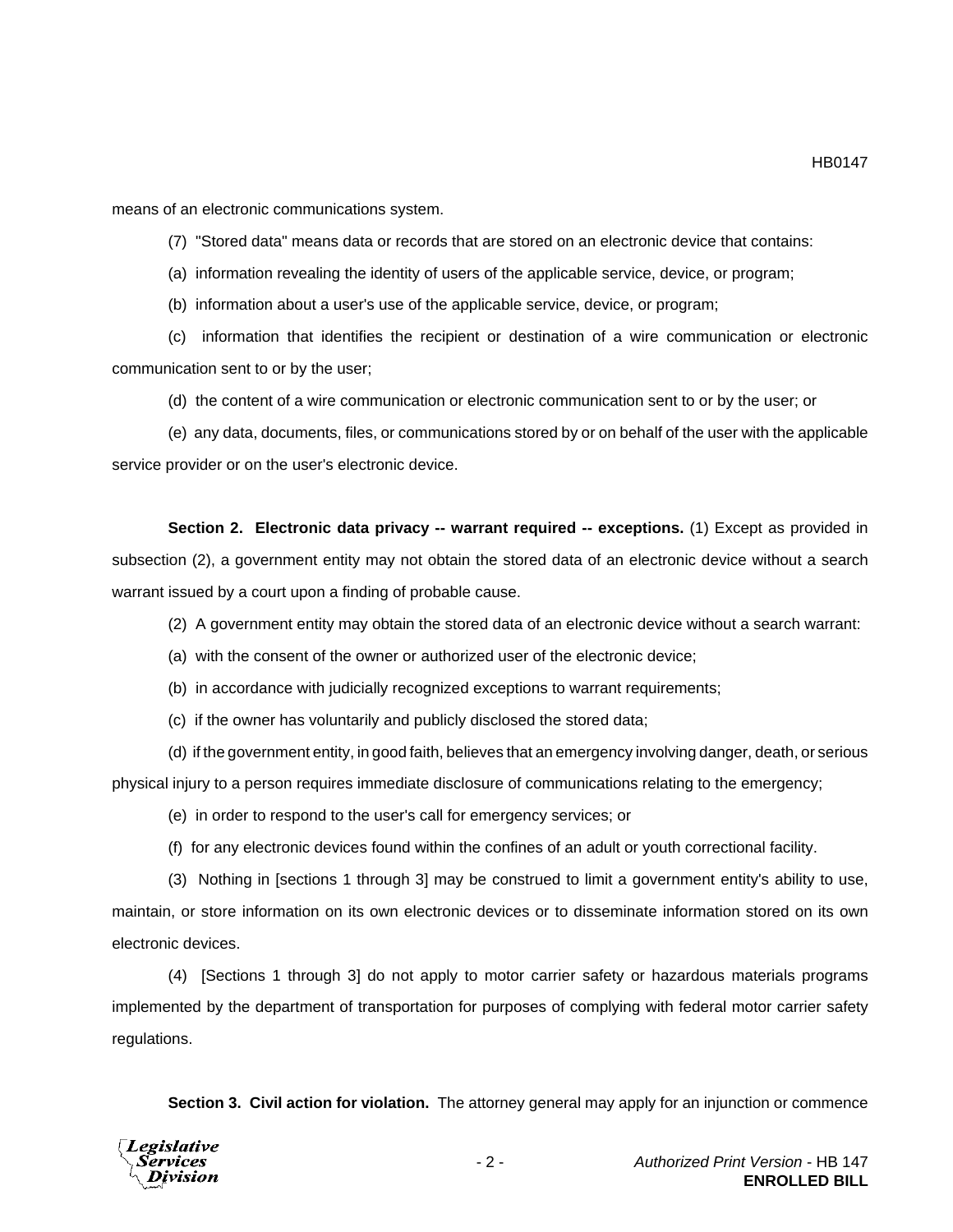means of an electronic communications system.

(7) "Stored data" means data or records that are stored on an electronic device that contains:

(a) information revealing the identity of users of the applicable service, device, or program;

(b) information about a user's use of the applicable service, device, or program;

(c) information that identifies the recipient or destination of a wire communication or electronic communication sent to or by the user;

(d) the content of a wire communication or electronic communication sent to or by the user; or

(e) any data, documents, files, or communications stored by or on behalf of the user with the applicable service provider or on the user's electronic device.

**Section 2. Electronic data privacy -- warrant required -- exceptions.** (1) Except as provided in subsection (2), a government entity may not obtain the stored data of an electronic device without a search warrant issued by a court upon a finding of probable cause.

(2) A government entity may obtain the stored data of an electronic device without a search warrant:

(a) with the consent of the owner or authorized user of the electronic device;

(b) in accordance with judicially recognized exceptions to warrant requirements;

(c) if the owner has voluntarily and publicly disclosed the stored data;

(d) if the government entity, in good faith, believes that an emergency involving danger, death, or serious physical injury to a person requires immediate disclosure of communications relating to the emergency;

(e) in order to respond to the user's call for emergency services; or

(f) for any electronic devices found within the confines of an adult or youth correctional facility.

(3) Nothing in [sections 1 through 3] may be construed to limit a government entity's ability to use, maintain, or store information on its own electronic devices or to disseminate information stored on its own electronic devices.

(4) [Sections 1 through 3] do not apply to motor carrier safety or hazardous materials programs implemented by the department of transportation for purposes of complying with federal motor carrier safety regulations.

**Section 3. Civil action for violation.** The attorney general may apply for an injunction or commence



HB0147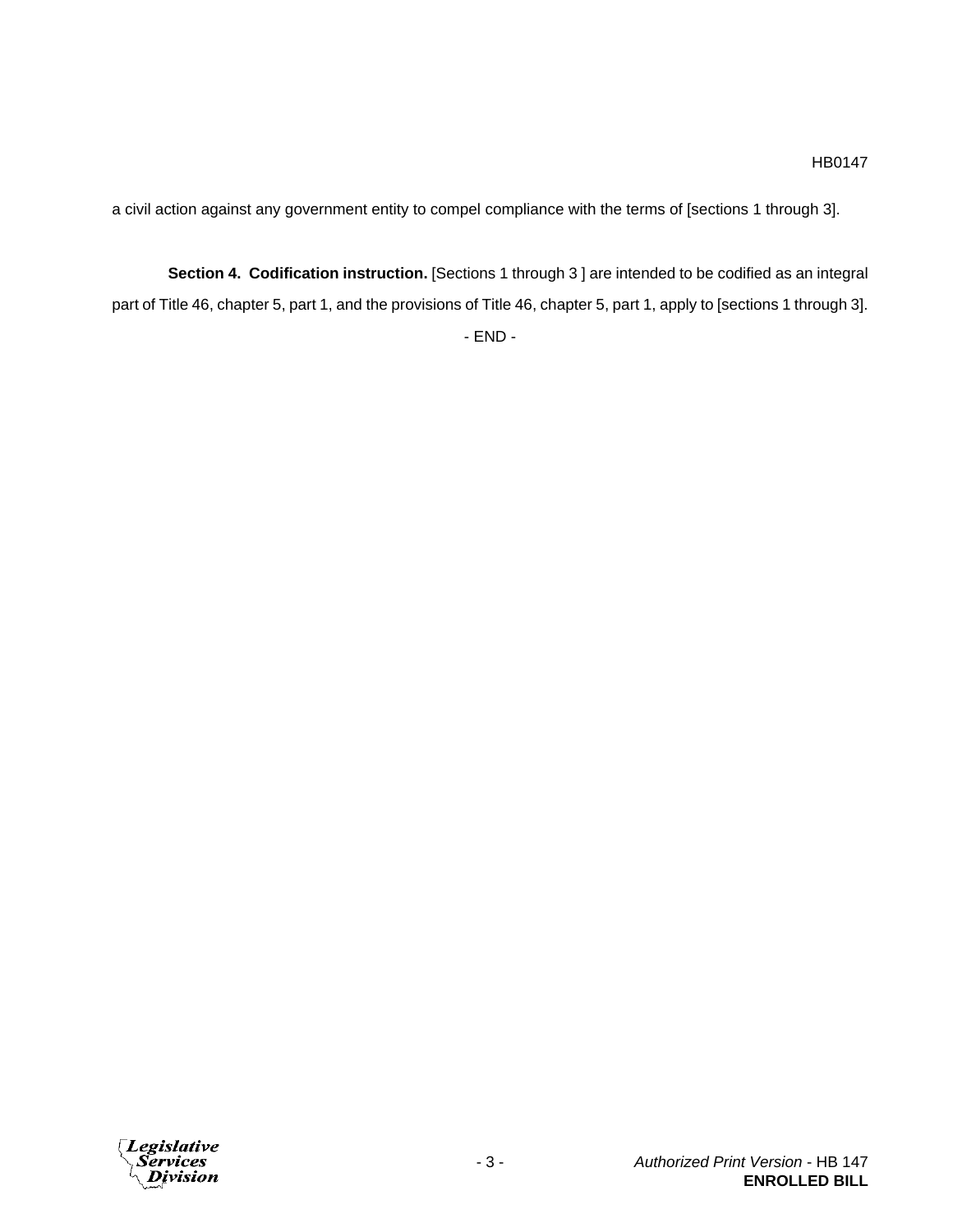a civil action against any government entity to compel compliance with the terms of [sections 1 through 3].

**Section 4. Codification instruction.** [Sections 1 through 3 ] are intended to be codified as an integral part of Title 46, chapter 5, part 1, and the provisions of Title 46, chapter 5, part 1, apply to [sections 1 through 3]. - END -

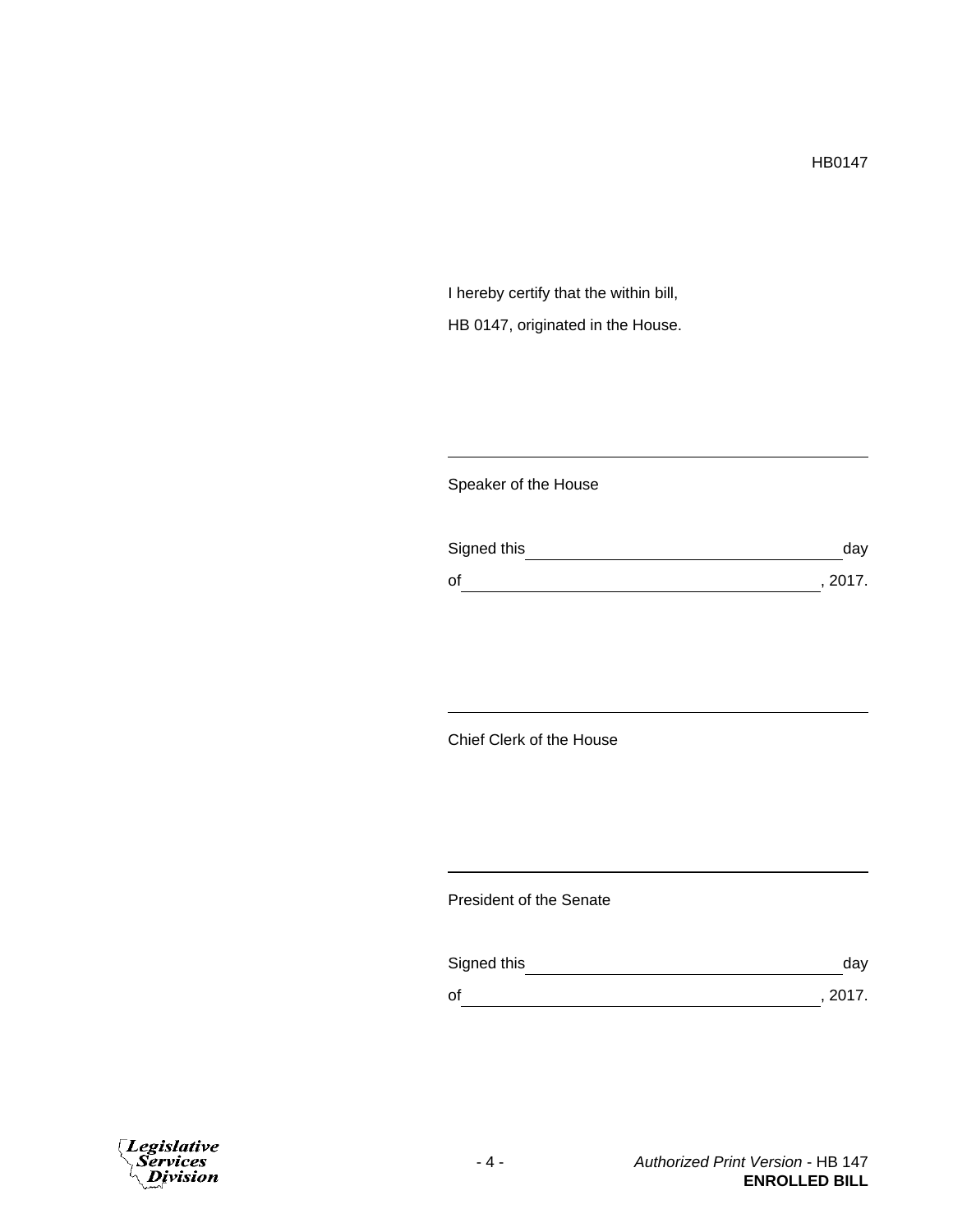I hereby certify that the within bill, HB 0147, originated in the House.

## Speaker of the House

| Signed this | day     |
|-------------|---------|
| οf          | , 2017. |

## Chief Clerk of the House

## President of the Senate

| Signed this | day     |
|-------------|---------|
| 0f          | , 2017. |